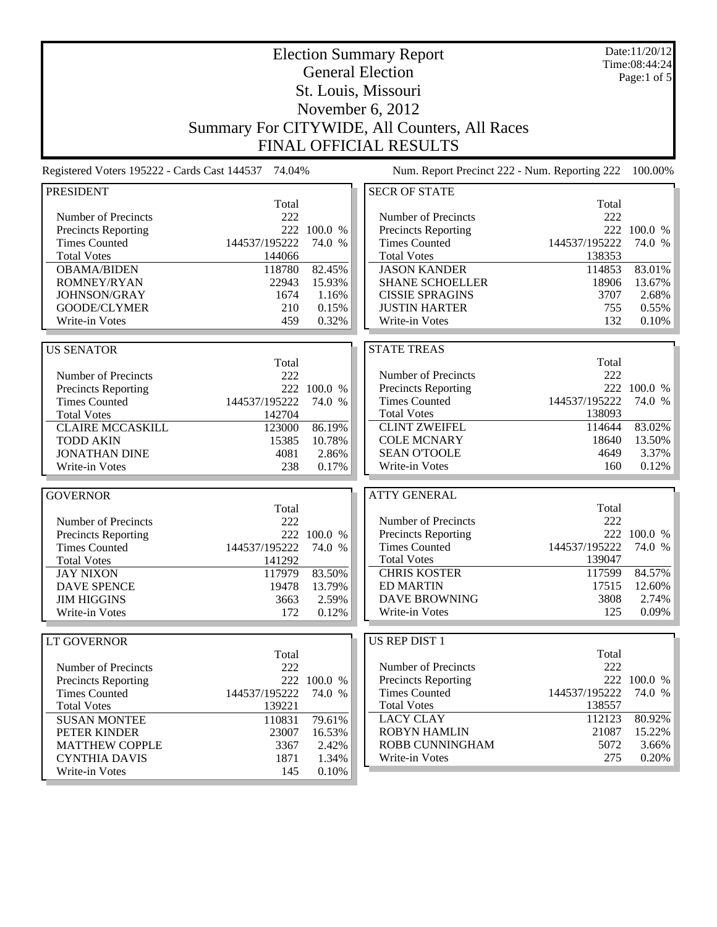| <b>Election Summary Report</b><br><b>General Election</b> |                                                                                                                 |             |                                               |               | Date:11/20/12<br>Time:08:44:24 |  |  |
|-----------------------------------------------------------|-----------------------------------------------------------------------------------------------------------------|-------------|-----------------------------------------------|---------------|--------------------------------|--|--|
|                                                           |                                                                                                                 | Page:1 of 5 |                                               |               |                                |  |  |
|                                                           | St. Louis, Missouri                                                                                             |             |                                               |               |                                |  |  |
| November 6, 2012                                          |                                                                                                                 |             |                                               |               |                                |  |  |
|                                                           |                                                                                                                 |             |                                               |               |                                |  |  |
|                                                           |                                                                                                                 |             | Summary For CITYWIDE, All Counters, All Races |               |                                |  |  |
|                                                           |                                                                                                                 |             | <b>FINAL OFFICIAL RESULTS</b>                 |               |                                |  |  |
|                                                           | Registered Voters 195222 - Cards Cast 144537 74.04%<br>Num. Report Precinct 222 - Num. Reporting 222<br>100.00% |             |                                               |               |                                |  |  |
| <b>PRESIDENT</b>                                          |                                                                                                                 |             | <b>SECR OF STATE</b>                          |               |                                |  |  |
|                                                           | Total                                                                                                           |             |                                               | Total         |                                |  |  |
| Number of Precincts                                       | 222                                                                                                             |             | Number of Precincts                           | 222           |                                |  |  |
| <b>Precincts Reporting</b>                                |                                                                                                                 | 222 100.0 % | Precincts Reporting                           |               | 222 100.0 %                    |  |  |
| <b>Times Counted</b>                                      | 144537/195222                                                                                                   | 74.0 %      | <b>Times Counted</b>                          | 144537/195222 | 74.0 %                         |  |  |
| <b>Total Votes</b>                                        | 144066                                                                                                          |             | <b>Total Votes</b>                            | 138353        |                                |  |  |
| <b>OBAMA/BIDEN</b>                                        | 118780                                                                                                          | 82.45%      | <b>JASON KANDER</b>                           | 114853        | 83.01%                         |  |  |
| ROMNEY/RYAN                                               | 22943                                                                                                           | 15.93%      | <b>SHANE SCHOELLER</b>                        | 18906         | 13.67%                         |  |  |
| JOHNSON/GRAY                                              | 1674                                                                                                            | 1.16%       | <b>CISSIE SPRAGINS</b>                        | 3707          | 2.68%                          |  |  |
| GOODE/CLYMER                                              | 210                                                                                                             | 0.15%       | <b>JUSTIN HARTER</b>                          | 755<br>132    | 0.55%                          |  |  |
| Write-in Votes                                            | 459                                                                                                             | 0.32%       | Write-in Votes                                |               | 0.10%                          |  |  |
| <b>US SENATOR</b>                                         |                                                                                                                 |             | <b>STATE TREAS</b>                            |               |                                |  |  |
|                                                           | Total                                                                                                           |             |                                               | Total         |                                |  |  |
| Number of Precincts                                       | 222                                                                                                             |             | Number of Precincts                           | 222           |                                |  |  |
| <b>Precincts Reporting</b>                                |                                                                                                                 | 222 100.0 % | <b>Precincts Reporting</b>                    |               | 222 100.0 %                    |  |  |
| <b>Times Counted</b>                                      | 144537/195222                                                                                                   | 74.0 %      | <b>Times Counted</b>                          | 144537/195222 | 74.0 %                         |  |  |
| <b>Total Votes</b>                                        | 142704                                                                                                          |             | <b>Total Votes</b>                            | 138093        |                                |  |  |
| <b>CLAIRE MCCASKILL</b>                                   | 123000                                                                                                          | 86.19%      | <b>CLINT ZWEIFEL</b>                          | 114644        | 83.02%                         |  |  |
| <b>TODD AKIN</b>                                          | 15385                                                                                                           | 10.78%      | <b>COLE MCNARY</b>                            | 18640         | 13.50%                         |  |  |
| <b>JONATHAN DINE</b>                                      | 4081                                                                                                            | 2.86%       | <b>SEAN O'TOOLE</b>                           | 4649          | 3.37%                          |  |  |
| Write-in Votes                                            | 238                                                                                                             | 0.17%       | Write-in Votes                                | 160           | 0.12%                          |  |  |
|                                                           |                                                                                                                 |             |                                               |               |                                |  |  |
| <b>GOVERNOR</b>                                           |                                                                                                                 |             | <b>ATTY GENERAL</b>                           |               |                                |  |  |
|                                                           | Total                                                                                                           |             |                                               | Total         |                                |  |  |
| Number of Precincts                                       | 222                                                                                                             |             | Number of Precincts                           | 222           |                                |  |  |
| Precincts Reporting                                       |                                                                                                                 | 222 100.0 % | Precincts Reporting                           |               | 222 100.0 %                    |  |  |
| <b>Times Counted</b>                                      | 144537/195222                                                                                                   | 74.0 %      | <b>Times Counted</b>                          | 144537/195222 | 74.0 %                         |  |  |
| <b>Total Votes</b>                                        | 141292                                                                                                          |             | <b>Total Votes</b>                            | 139047        |                                |  |  |
| <b>JAY NIXON</b>                                          | 117979                                                                                                          | 83.50%      | <b>CHRIS KOSTER</b>                           | 117599        | 84.57%                         |  |  |
| <b>DAVE SPENCE</b>                                        | 19478                                                                                                           | 13.79%      | <b>ED MARTIN</b>                              | 17515         | 12.60%                         |  |  |
| <b>JIM HIGGINS</b><br>Write-in Votes                      | 3663                                                                                                            | 2.59%       | <b>DAVE BROWNING</b><br><b>Write-in Votes</b> | 3808<br>125   | 2.74%<br>0.09%                 |  |  |
|                                                           | 172                                                                                                             | 0.12%       |                                               |               |                                |  |  |
| <b>LT GOVERNOR</b>                                        |                                                                                                                 |             | US REP DIST 1                                 |               |                                |  |  |
|                                                           | Total                                                                                                           |             |                                               | Total         |                                |  |  |
| Number of Precincts                                       | 222                                                                                                             |             | Number of Precincts                           | 222           |                                |  |  |
| <b>Precincts Reporting</b>                                |                                                                                                                 | 222 100.0 % | <b>Precincts Reporting</b>                    |               | 222 100.0 %                    |  |  |
| <b>Times Counted</b>                                      | 144537/195222                                                                                                   | 74.0 %      | <b>Times Counted</b>                          | 144537/195222 | 74.0 %                         |  |  |
| <b>Total Votes</b>                                        | 139221                                                                                                          |             | <b>Total Votes</b>                            | 138557        |                                |  |  |
| <b>SUSAN MONTEE</b>                                       | 110831                                                                                                          | 79.61%      | <b>LACY CLAY</b>                              | 112123        | 80.92%                         |  |  |
| PETER KINDER                                              | 23007                                                                                                           | 16.53%      | <b>ROBYN HAMLIN</b>                           | 21087         | 15.22%                         |  |  |
| <b>MATTHEW COPPLE</b>                                     | 3367                                                                                                            | 2.42%       | ROBB CUNNINGHAM                               | 5072          | 3.66%                          |  |  |
| <b>CYNTHIA DAVIS</b>                                      | 1871                                                                                                            | 1.34%       | Write-in Votes                                | 275           | 0.20%                          |  |  |
| Write-in Votes                                            | 145                                                                                                             | 0.10%       |                                               |               |                                |  |  |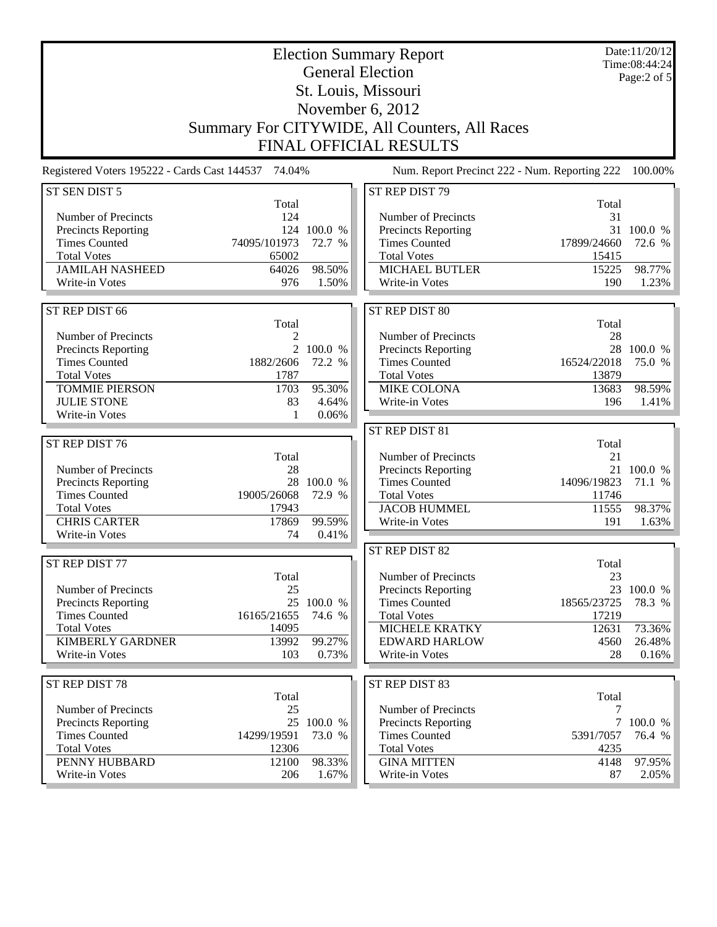| <b>Election Summary Report</b><br><b>General Election</b> |                                                     |                       |                                               |                  | Date:11/20/12<br>Time:08:44:24 |  |
|-----------------------------------------------------------|-----------------------------------------------------|-----------------------|-----------------------------------------------|------------------|--------------------------------|--|
|                                                           |                                                     | Page: $2$ of $5$      |                                               |                  |                                |  |
| St. Louis, Missouri                                       |                                                     |                       |                                               |                  |                                |  |
|                                                           |                                                     |                       | November 6, 2012                              |                  |                                |  |
|                                                           |                                                     |                       | Summary For CITYWIDE, All Counters, All Races |                  |                                |  |
|                                                           |                                                     |                       | <b>FINAL OFFICIAL RESULTS</b>                 |                  |                                |  |
|                                                           | Registered Voters 195222 - Cards Cast 144537 74.04% |                       | Num. Report Precinct 222 - Num. Reporting 222 |                  | 100.00%                        |  |
| ST SEN DIST 5                                             |                                                     |                       | ST REP DIST 79                                |                  |                                |  |
|                                                           | Total                                               |                       |                                               | Total            |                                |  |
| Number of Precincts                                       | 124                                                 |                       | Number of Precincts                           | 31               |                                |  |
| <b>Precincts Reporting</b><br><b>Times Counted</b>        | 74095/101973                                        | 124 100.0 %<br>72.7 % | Precincts Reporting<br><b>Times Counted</b>   | 17899/24660      | 31 100.0 %<br>72.6 %           |  |
| <b>Total Votes</b>                                        | 65002                                               |                       | <b>Total Votes</b>                            | 15415            |                                |  |
| <b>JAMILAH NASHEED</b>                                    | 64026                                               | 98.50%                | <b>MICHAEL BUTLER</b>                         | 15225            | 98.77%                         |  |
| Write-in Votes                                            | 976                                                 | 1.50%                 | Write-in Votes                                | 190              | 1.23%                          |  |
|                                                           |                                                     |                       |                                               |                  |                                |  |
| ST REP DIST 66                                            |                                                     |                       | ST REP DIST 80                                |                  |                                |  |
|                                                           | Total                                               |                       |                                               | Total            |                                |  |
| Number of Precincts                                       | 2                                                   | 2 100.0 %             | Number of Precincts                           | 28               | 28 100.0 %                     |  |
| <b>Precincts Reporting</b><br><b>Times Counted</b>        | 1882/2606                                           | 72.2 %                | Precincts Reporting<br><b>Times Counted</b>   | 16524/22018      | 75.0 %                         |  |
| <b>Total Votes</b>                                        | 1787                                                |                       | <b>Total Votes</b>                            | 13879            |                                |  |
| <b>TOMMIE PIERSON</b>                                     | 1703                                                | 95.30%                | <b>MIKE COLONA</b>                            | 13683            | 98.59%                         |  |
| <b>JULIE STONE</b>                                        | 83                                                  | 4.64%                 | Write-in Votes                                | 196              | 1.41%                          |  |
| Write-in Votes                                            | 1                                                   | 0.06%                 |                                               |                  |                                |  |
|                                                           |                                                     |                       | ST REP DIST 81                                |                  |                                |  |
| ST REP DIST 76                                            |                                                     |                       |                                               | Total            |                                |  |
|                                                           | Total                                               |                       | Number of Precincts                           | 21               |                                |  |
| Number of Precincts                                       | 28<br>28                                            | 100.0 %               | Precincts Reporting<br><b>Times Counted</b>   | 14096/19823      | 21 100.0 %<br>71.1 %           |  |
| <b>Precincts Reporting</b><br><b>Times Counted</b>        | 19005/26068                                         | 72.9 %                | <b>Total Votes</b>                            | 11746            |                                |  |
| <b>Total Votes</b>                                        | 17943                                               |                       | <b>JACOB HUMMEL</b>                           | 11555            | 98.37%                         |  |
| <b>CHRIS CARTER</b>                                       | 17869                                               | 99.59%                | Write-in Votes                                | 191              | 1.63%                          |  |
| Write-in Votes                                            | 74                                                  | 0.41%                 |                                               |                  |                                |  |
|                                                           |                                                     |                       | ST REP DIST 82                                |                  |                                |  |
| ST REP DIST 77                                            |                                                     |                       |                                               | Total            |                                |  |
|                                                           | Total                                               |                       | Number of Precincts                           | 23               |                                |  |
| Number of Precincts                                       | 25                                                  |                       | Precincts Reporting                           |                  | 23 100.0 %                     |  |
| <b>Precincts Reporting</b>                                | 25                                                  | 100.0 %               | <b>Times Counted</b>                          | 18565/23725      | 78.3 %                         |  |
| <b>Times Counted</b>                                      | 16165/21655                                         | 74.6 %                | <b>Total Votes</b>                            | 17219            |                                |  |
| <b>Total Votes</b><br><b>KIMBERLY GARDNER</b>             | 14095<br>13992                                      | 99.27%                | <b>MICHELE KRATKY</b><br><b>EDWARD HARLOW</b> | 12631<br>4560    | 73.36%<br>26.48%               |  |
| Write-in Votes                                            | 103                                                 | 0.73%                 | Write-in Votes                                | 28               | 0.16%                          |  |
|                                                           |                                                     |                       |                                               |                  |                                |  |
| ST REP DIST 78                                            |                                                     |                       | ST REP DIST 83                                |                  |                                |  |
|                                                           | Total                                               |                       |                                               | Total            |                                |  |
| Number of Precincts                                       | 25                                                  |                       | Number of Precincts                           | $\boldsymbol{7}$ |                                |  |
|                                                           |                                                     |                       |                                               |                  |                                |  |
| Precincts Reporting                                       |                                                     | 25 100.0 %            | Precincts Reporting                           |                  | 7 100.0 %                      |  |
| <b>Times Counted</b>                                      | 14299/19591                                         | 73.0 %                | <b>Times Counted</b>                          | 5391/7057        | 76.4 %                         |  |
| <b>Total Votes</b>                                        | 12306                                               |                       | <b>Total Votes</b>                            | 4235             |                                |  |
| PENNY HUBBARD<br>Write-in Votes                           | 12100<br>206                                        | 98.33%<br>1.67%       | <b>GINA MITTEN</b><br>Write-in Votes          | 4148<br>87       | 97.95%<br>2.05%                |  |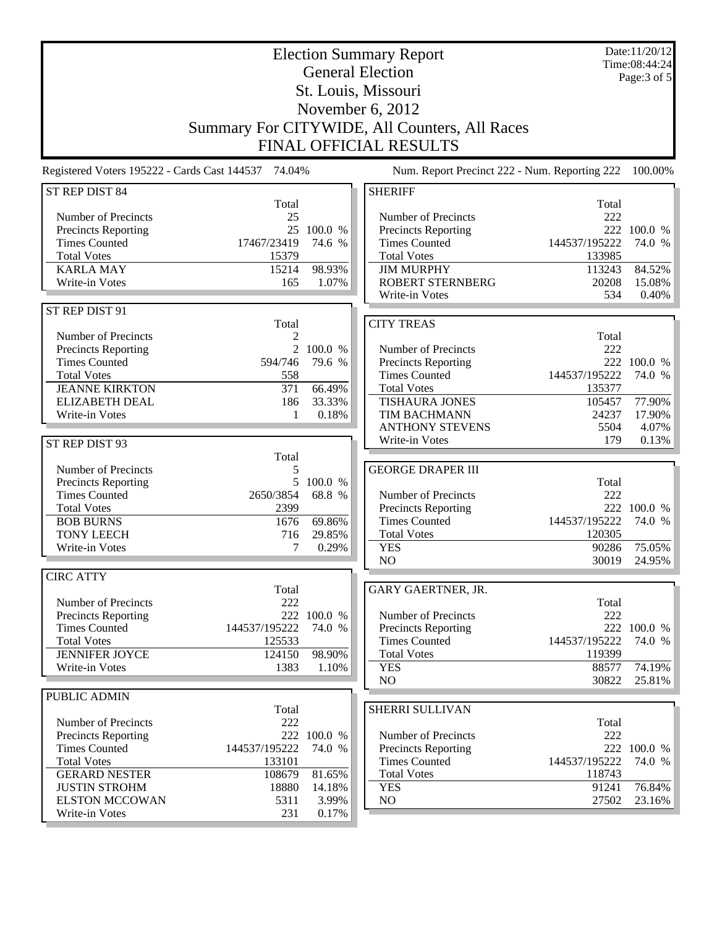| <b>Election Summary Report</b>                     |                                                     |                   |                                               |                | Date:11/20/12<br>Time:08:44:24 |  |  |  |
|----------------------------------------------------|-----------------------------------------------------|-------------------|-----------------------------------------------|----------------|--------------------------------|--|--|--|
| <b>General Election</b>                            |                                                     |                   |                                               |                | Page: 3 of 5                   |  |  |  |
| St. Louis, Missouri                                |                                                     |                   |                                               |                |                                |  |  |  |
| November 6, 2012                                   |                                                     |                   |                                               |                |                                |  |  |  |
|                                                    |                                                     |                   |                                               |                |                                |  |  |  |
|                                                    | Summary For CITYWIDE, All Counters, All Races       |                   |                                               |                |                                |  |  |  |
|                                                    |                                                     |                   | <b>FINAL OFFICIAL RESULTS</b>                 |                |                                |  |  |  |
|                                                    | Registered Voters 195222 - Cards Cast 144537 74.04% |                   | Num. Report Precinct 222 - Num. Reporting 222 |                | 100.00%                        |  |  |  |
| ST REP DIST 84                                     | Total                                               |                   | <b>SHERIFF</b>                                | Total          |                                |  |  |  |
| Number of Precincts                                | 25                                                  |                   | Number of Precincts                           | 222            |                                |  |  |  |
| Precincts Reporting                                | 25                                                  | 100.0 %           | Precincts Reporting                           |                | 222 100.0 %                    |  |  |  |
| <b>Times Counted</b>                               | 17467/23419                                         | 74.6 %            | <b>Times Counted</b>                          | 144537/195222  | 74.0 %                         |  |  |  |
| <b>Total Votes</b>                                 | 15379                                               |                   | <b>Total Votes</b>                            | 133985         |                                |  |  |  |
| <b>KARLA MAY</b>                                   | 15214                                               | 98.93%            | <b>JIM MURPHY</b>                             | 113243         | 84.52%                         |  |  |  |
| <b>Write-in Votes</b>                              | 165                                                 | 1.07%             | <b>ROBERT STERNBERG</b>                       | 20208          | 15.08%                         |  |  |  |
|                                                    |                                                     |                   | Write-in Votes                                | 534            | 0.40%                          |  |  |  |
| ST REP DIST 91                                     |                                                     |                   |                                               |                |                                |  |  |  |
|                                                    | Total                                               |                   | <b>CITY TREAS</b>                             |                |                                |  |  |  |
| Number of Precincts                                | 2                                                   |                   |                                               | Total          |                                |  |  |  |
| Precincts Reporting                                | $\overline{2}$                                      | 100.0 %           | Number of Precincts                           | 222            |                                |  |  |  |
| <b>Times Counted</b>                               | 594/746                                             | 79.6 %            | Precincts Reporting                           |                | 222 100.0 %                    |  |  |  |
| <b>Total Votes</b>                                 | 558                                                 |                   | <b>Times Counted</b>                          | 144537/195222  | 74.0 %                         |  |  |  |
| <b>JEANNE KIRKTON</b>                              | 371                                                 | 66.49%            | <b>Total Votes</b>                            | 135377         |                                |  |  |  |
| <b>ELIZABETH DEAL</b>                              | 186                                                 | 33.33%            | <b>TISHAURA JONES</b>                         | 105457         | 77.90%                         |  |  |  |
| Write-in Votes                                     | -1                                                  | 0.18%             | TIM BACHMANN                                  | 24237          | 17.90%                         |  |  |  |
|                                                    |                                                     |                   | <b>ANTHONY STEVENS</b>                        | 5504           | 4.07%                          |  |  |  |
| ST REP DIST 93                                     |                                                     |                   | Write-in Votes                                | 179            | 0.13%                          |  |  |  |
|                                                    | Total                                               |                   |                                               |                |                                |  |  |  |
| Number of Precincts                                | 5                                                   |                   | <b>GEORGE DRAPER III</b>                      |                |                                |  |  |  |
| <b>Precincts Reporting</b><br><b>Times Counted</b> | 5<br>2650/3854                                      | 100.0 %<br>68.8 % | Number of Precincts                           | Total<br>222   |                                |  |  |  |
| <b>Total Votes</b>                                 | 2399                                                |                   | <b>Precincts Reporting</b>                    |                | 222 100.0 %                    |  |  |  |
| <b>BOB BURNS</b>                                   | 1676                                                | 69.86%            | <b>Times Counted</b>                          | 144537/195222  | 74.0 %                         |  |  |  |
| <b>TONY LEECH</b>                                  | 716                                                 | 29.85%            | <b>Total Votes</b>                            | 120305         |                                |  |  |  |
| Write-in Votes                                     | 7                                                   | 0.29%             | <b>YES</b>                                    | 90286          | 75.05%                         |  |  |  |
|                                                    |                                                     |                   | NO                                            | 30019          | 24.95%                         |  |  |  |
| <b>CIRC ATTY</b>                                   |                                                     |                   |                                               |                |                                |  |  |  |
|                                                    | Total                                               |                   | GARY GAERTNER, JR.                            |                |                                |  |  |  |
| Number of Precincts                                | 222                                                 |                   |                                               | Total          |                                |  |  |  |
| <b>Precincts Reporting</b>                         |                                                     | 222 100.0 %       | Number of Precincts                           | 222            |                                |  |  |  |
| <b>Times Counted</b>                               | 144537/195222                                       | 74.0 %            | Precincts Reporting                           |                | 222 100.0 %                    |  |  |  |
| <b>Total Votes</b>                                 | 125533                                              |                   | <b>Times Counted</b>                          | 144537/195222  | 74.0 %                         |  |  |  |
| <b>JENNIFER JOYCE</b>                              | 124150                                              | 98.90%            | <b>Total Votes</b>                            | 119399         |                                |  |  |  |
| Write-in Votes                                     | 1383                                                | 1.10%             | <b>YES</b>                                    | 88577          | 74.19%                         |  |  |  |
|                                                    |                                                     |                   | NO                                            | 30822          | 25.81%                         |  |  |  |
| PUBLIC ADMIN                                       |                                                     |                   |                                               |                |                                |  |  |  |
|                                                    | Total                                               |                   | SHERRI SULLIVAN                               |                |                                |  |  |  |
| Number of Precincts                                | 222                                                 |                   |                                               | Total          |                                |  |  |  |
| Precincts Reporting                                |                                                     | 222 100.0 %       | Number of Precincts                           | 222            |                                |  |  |  |
| <b>Times Counted</b>                               | 144537/195222                                       | 74.0 %            | <b>Precincts Reporting</b>                    |                | 222 100.0 %                    |  |  |  |
| <b>Total Votes</b>                                 | 133101                                              |                   | <b>Times Counted</b>                          | 144537/195222  | 74.0 %                         |  |  |  |
| <b>GERARD NESTER</b>                               | 108679                                              | 81.65%            | <b>Total Votes</b>                            | 118743         |                                |  |  |  |
| <b>JUSTIN STROHM</b><br><b>ELSTON MCCOWAN</b>      | 18880<br>5311                                       | 14.18%<br>3.99%   | <b>YES</b><br>NO                              | 91241<br>27502 | 76.84%                         |  |  |  |
| Write-in Votes                                     | 231                                                 | 0.17%             |                                               |                | 23.16%                         |  |  |  |
|                                                    |                                                     |                   |                                               |                |                                |  |  |  |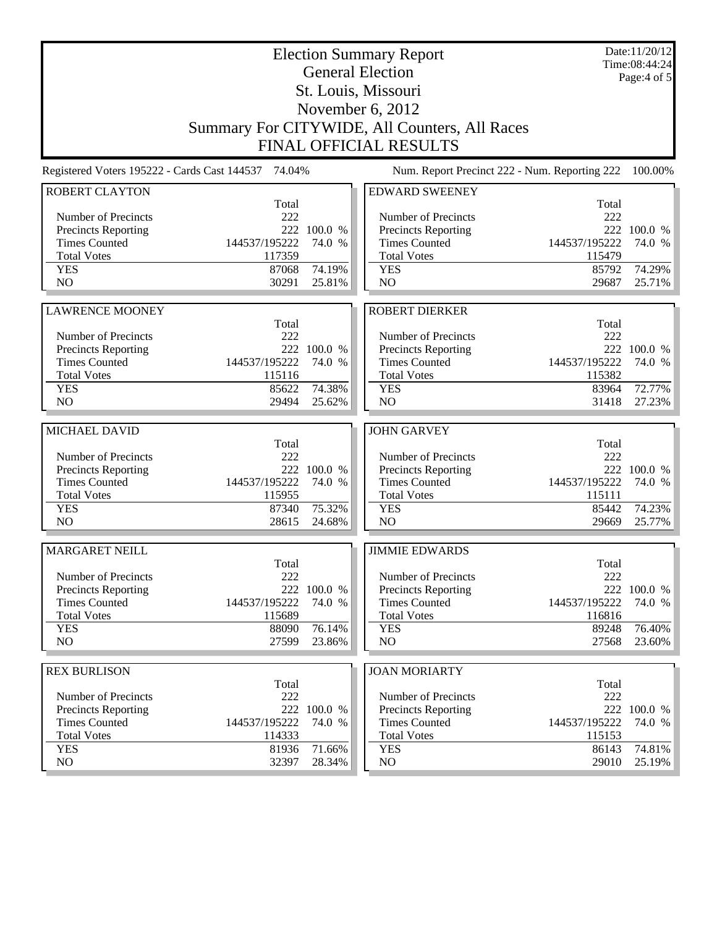|                                                    |                                                     | Date:11/20/12<br>Time:08:44:24<br>Page: $4$ of $5$ |                                               |                |                       |  |  |
|----------------------------------------------------|-----------------------------------------------------|----------------------------------------------------|-----------------------------------------------|----------------|-----------------------|--|--|
| St. Louis, Missouri                                |                                                     |                                                    |                                               |                |                       |  |  |
| November 6, 2012                                   |                                                     |                                                    |                                               |                |                       |  |  |
|                                                    |                                                     |                                                    | Summary For CITYWIDE, All Counters, All Races |                |                       |  |  |
|                                                    |                                                     |                                                    | <b>FINAL OFFICIAL RESULTS</b>                 |                |                       |  |  |
|                                                    | Registered Voters 195222 - Cards Cast 144537 74.04% |                                                    | Num. Report Precinct 222 - Num. Reporting 222 |                | 100.00%               |  |  |
| <b>ROBERT CLAYTON</b>                              | Total                                               |                                                    | <b>EDWARD SWEENEY</b>                         | Total          |                       |  |  |
| Number of Precincts                                | 222                                                 |                                                    | Number of Precincts                           | 222            |                       |  |  |
| Precincts Reporting                                |                                                     | 222 100.0 %                                        | Precincts Reporting                           |                | 222 100.0 %           |  |  |
| <b>Times Counted</b>                               | 144537/195222                                       | 74.0 %                                             | <b>Times Counted</b>                          | 144537/195222  | 74.0 %                |  |  |
| <b>Total Votes</b>                                 | 117359                                              |                                                    | <b>Total Votes</b>                            | 115479         |                       |  |  |
| <b>YES</b><br>N <sub>O</sub>                       | 87068<br>30291                                      | 74.19%<br>25.81%                                   | <b>YES</b><br>N <sub>O</sub>                  | 85792<br>29687 | 74.29%<br>25.71%      |  |  |
|                                                    |                                                     |                                                    |                                               |                |                       |  |  |
| <b>LAWRENCE MOONEY</b>                             |                                                     |                                                    | <b>ROBERT DIERKER</b>                         |                |                       |  |  |
|                                                    | Total                                               |                                                    |                                               | Total          |                       |  |  |
| Number of Precincts                                | 222                                                 |                                                    | Number of Precincts                           | 222            |                       |  |  |
| Precincts Reporting<br><b>Times Counted</b>        | 144537/195222                                       | 222 100.0 %<br>74.0 %                              | Precincts Reporting<br><b>Times Counted</b>   | 144537/195222  | 222 100.0 %<br>74.0 % |  |  |
| <b>Total Votes</b>                                 | 115116                                              |                                                    | <b>Total Votes</b>                            | 115382         |                       |  |  |
| <b>YES</b>                                         | 85622                                               | 74.38%                                             | <b>YES</b>                                    | 83964          | 72.77%                |  |  |
| N <sub>O</sub>                                     | 29494                                               | 25.62%                                             | NO                                            | 31418          | 27.23%                |  |  |
| MICHAEL DAVID                                      | <b>JOHN GARVEY</b>                                  |                                                    |                                               |                |                       |  |  |
|                                                    | Total                                               |                                                    |                                               | Total          |                       |  |  |
| Number of Precincts                                | 222                                                 |                                                    | Number of Precincts                           | 222            |                       |  |  |
| Precincts Reporting                                |                                                     | 222 100.0 %                                        | Precincts Reporting                           |                | 222 100.0 %           |  |  |
| <b>Times Counted</b>                               | 144537/195222                                       | 74.0 %                                             | <b>Times Counted</b>                          | 144537/195222  | 74.0 %                |  |  |
| <b>Total Votes</b>                                 | 115955                                              |                                                    | <b>Total Votes</b>                            | 115111         |                       |  |  |
| <b>YES</b><br>N <sub>O</sub>                       | 87340<br>28615                                      | 75.32%<br>24.68%                                   | <b>YES</b><br>N <sub>O</sub>                  | 85442<br>29669 | 74.23%<br>25.77%      |  |  |
|                                                    |                                                     |                                                    |                                               |                |                       |  |  |
| <b>MARGARET NEILL</b>                              | Total                                               |                                                    | <b>JIMMIE EDWARDS</b>                         | Total          |                       |  |  |
| Number of Precincts                                | 222                                                 |                                                    | Number of Precincts                           | 222            |                       |  |  |
| Precincts Reporting                                |                                                     | 222 100.0 %                                        | Precincts Reporting                           |                | 222 100.0 %           |  |  |
| <b>Times Counted</b>                               | 144537/195222                                       | 74.0 %                                             | <b>Times Counted</b>                          | 144537/195222  | 74.0 %                |  |  |
| <b>Total Votes</b>                                 | 115689                                              |                                                    | <b>Total Votes</b>                            | 116816         |                       |  |  |
| <b>YES</b><br>NO                                   | 88090<br>27599                                      | 76.14%<br>23.86%                                   | <b>YES</b><br>NO                              | 89248<br>27568 | 76.40%<br>23.60%      |  |  |
|                                                    |                                                     |                                                    |                                               |                |                       |  |  |
| <b>REX BURLISON</b>                                |                                                     |                                                    | <b>JOAN MORIARTY</b>                          |                |                       |  |  |
|                                                    | Total                                               |                                                    |                                               | Total          |                       |  |  |
| Number of Precincts                                | 222                                                 | 222 100.0 %                                        | Number of Precincts<br>Precincts Reporting    | 222            | 222 100.0 %           |  |  |
| <b>Precincts Reporting</b><br><b>Times Counted</b> | 144537/195222                                       | 74.0 %                                             | <b>Times Counted</b>                          | 144537/195222  | 74.0 %                |  |  |
| <b>Total Votes</b>                                 | 114333                                              |                                                    | <b>Total Votes</b>                            | 115153         |                       |  |  |
|                                                    |                                                     |                                                    |                                               |                |                       |  |  |
| <b>YES</b><br>NO                                   | 81936<br>32397                                      | 71.66%<br>28.34%                                   | <b>YES</b><br>NO                              | 86143<br>29010 | 74.81%<br>25.19%      |  |  |